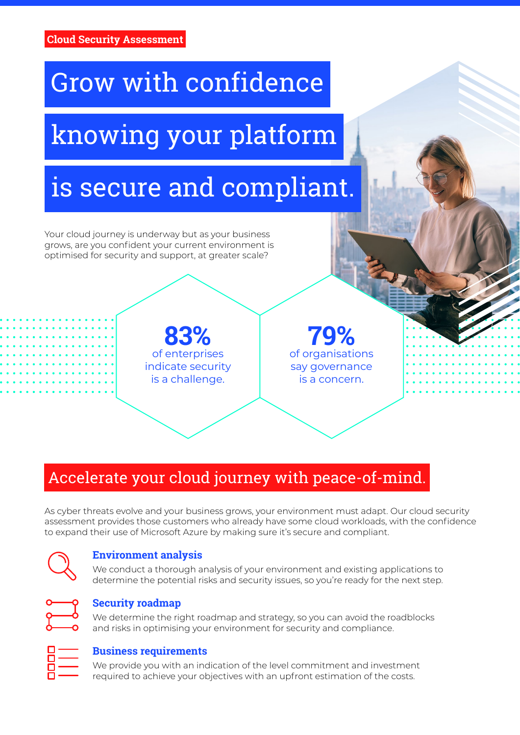# Grow with confidence

# knowing your platform

# is secure and compliant.

Your cloud journey is underway but as your business grows, are you confident your current environment is optimised for security and support, at greater scale?

> **83%** of enterprises indicate security is a challenge.

**79%** of organisations say governance is a concern.

# Accelerate your cloud journey with peace-of-mind.

As cyber threats evolve and your business grows, your environment must adapt. Our cloud security assessment provides those customers who already have some cloud workloads, with the confidence to expand their use of Microsoft Azure by making sure it's secure and compliant.

#### **Environment analysis**

We conduct a thorough analysis of your environment and existing applications to determine the potential risks and security issues, so you're ready for the next step.



#### **Security roadmap**

We determine the right roadmap and strategy, so you can avoid the roadblocks and risks in optimising your environment for security and compliance.



#### **Business requirements**

We provide you with an indication of the level commitment and investment required to achieve your objectives with an upfront estimation of the costs.